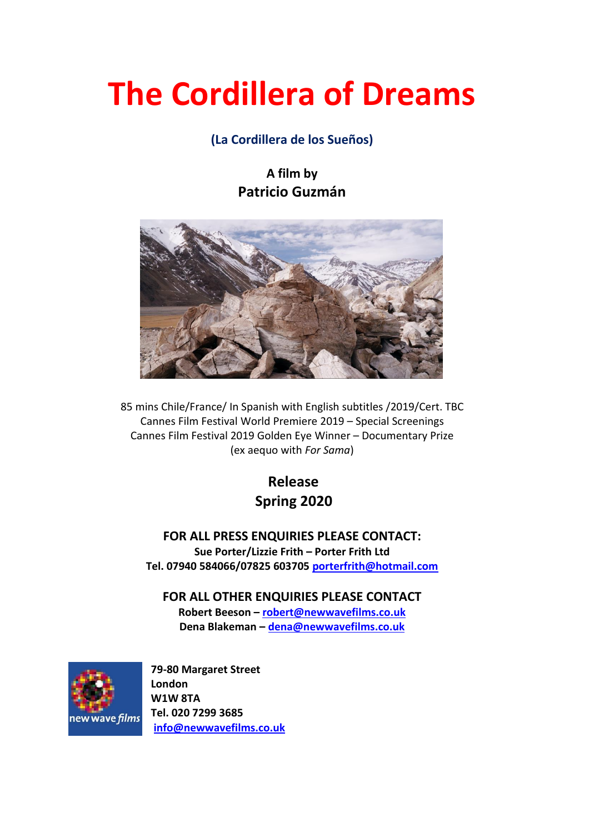# **The Cordillera of Dreams**

## **(La Cordillera de los Sueños)**

**A film by Patricio Guzmán**



85 mins Chile/France/ In Spanish with English subtitles /2019/Cert. TBC Cannes Film Festival World Premiere 2019 – Special Screenings Cannes Film Festival 2019 Golden Eye Winner – Documentary Prize (ex aequo with *For Sama*)

> **Release Spring 2020**

**FOR ALL PRESS ENQUIRIES PLEASE CONTACT: Sue Porter/Lizzie Frith – Porter Frith Ltd Tel. 07940 584066/07825 603705 [porterfrith@hotmail.com](mailto:porterfrith@hotmail.com)**

**FOR ALL OTHER ENQUIRIES PLEASE CONTACT**

**Robert Beeson – [robert@newwavefilms.co.uk](mailto:robert@newwavefilms.co.uk) Dena Blakeman – [dena@newwavefilms.co.uk](mailto:dena@newwavefilms.co.uk)**



**79-80 Margaret Street London W1W 8TA Tel. 020 7299 3685 [info@newwavefilms.co.uk](mailto:info@newwavefilms.co.uk)**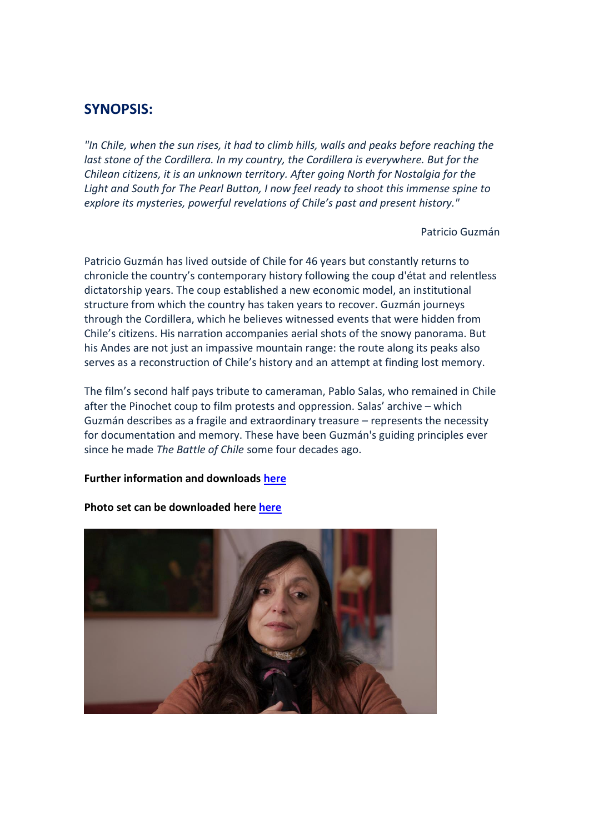## **SYNOPSIS:**

*"In Chile, when the sun rises, it had to climb hills, walls and peaks before reaching the*  last stone of the Cordillera. In my country, the Cordillera is everywhere. But for the *Chilean citizens, it is an unknown territory. After going North for Nostalgia for the Light and South for The Pearl Button, I now feel ready to shoot this immense spine to explore its mysteries, powerful revelations of Chile's past and present history."* 

Patricio Guzmán

Patricio Guzmán has lived outside of Chile for 46 years but constantly returns to chronicle the country's contemporary history following the coup d'état and relentless dictatorship years. The coup established a new economic model, an institutional structure from which the country has taken years to recover. Guzmán journeys through the Cordillera, which he believes witnessed events that were hidden from Chile's citizens. His narration accompanies aerial shots of the snowy panorama. But his Andes are not just an impassive mountain range: the route along its peaks also serves as a reconstruction of Chile's history and an attempt at finding lost memory.

The film's second half pays tribute to cameraman, Pablo Salas, who remained in Chile after the Pinochet coup to film protests and oppression. Salas' archive – which Guzmán describes as a fragile and extraordinary treasure – represents the necessity for documentation and memory. These have been Guzmán's guiding principles ever since he made *The Battle of Chile* some four decades ago.

#### **Further information and downloads [here](http://www.newwavefilms.co.uk/view-film-detail.html/?viewListing=MjAy&cat=1)**



#### **Photo set can be downloaded here [here](https://we.tl/t-x8yQx5Ikb2)**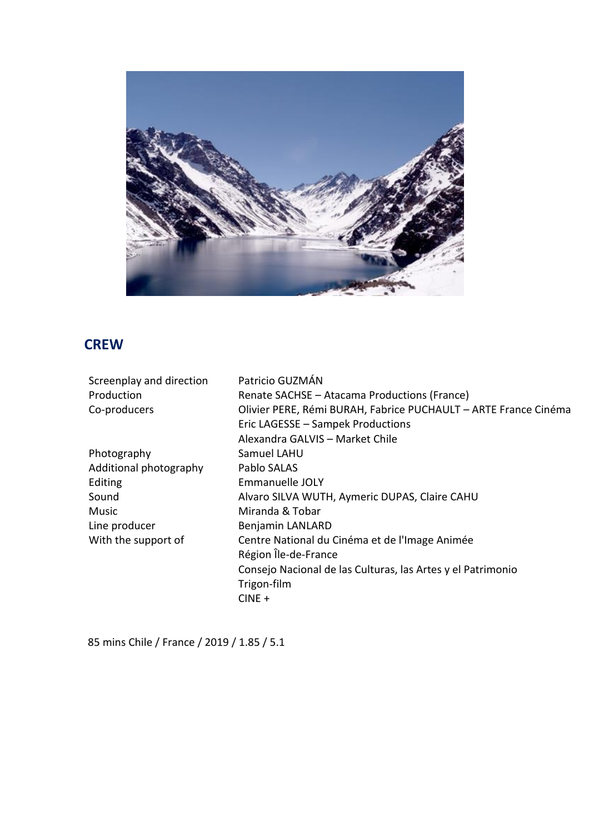

## **CREW**

| Screenplay and direction | Patricio GUZMÁN                                                 |
|--------------------------|-----------------------------------------------------------------|
| Production               | Renate SACHSE - Atacama Productions (France)                    |
| Co-producers             | Olivier PERE, Rémi BURAH, Fabrice PUCHAULT - ARTE France Cinéma |
|                          | Eric LAGESSE - Sampek Productions                               |
|                          | Alexandra GALVIS - Market Chile                                 |
| Photography              | Samuel LAHU                                                     |
| Additional photography   | Pablo SALAS                                                     |
| Editing                  | Emmanuelle JOLY                                                 |
| Sound                    | Alvaro SILVA WUTH, Aymeric DUPAS, Claire CAHU                   |
| Music                    | Miranda & Tobar                                                 |
| Line producer            | Benjamin LANLARD                                                |
| With the support of      | Centre National du Cinéma et de l'Image Animée                  |
|                          | Région Île-de-France                                            |
|                          | Consejo Nacional de las Culturas, las Artes y el Patrimonio     |
|                          | Trigon-film                                                     |
|                          | $CINE +$                                                        |
|                          |                                                                 |

85 mins Chile / France / 2019 / 1.85 / 5.1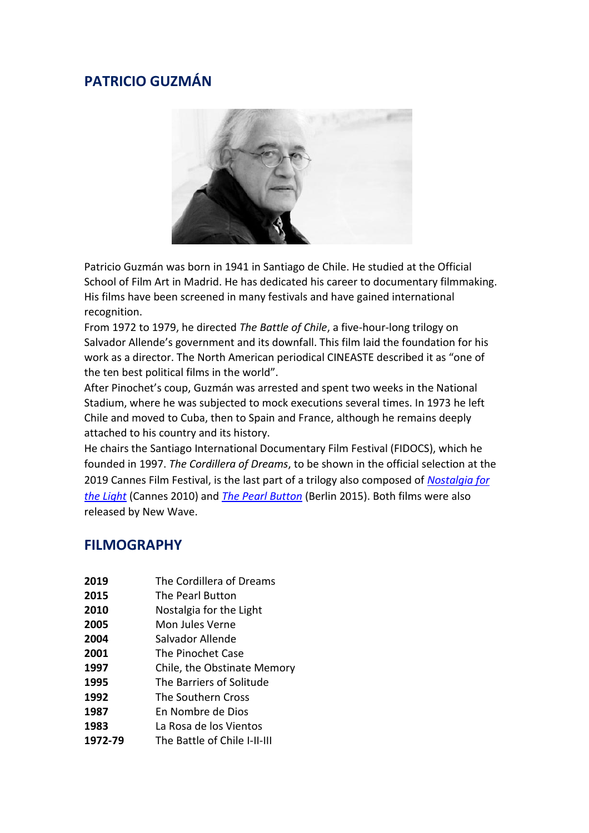## **PATRICIO GUZMÁN**



Patricio Guzmán was born in 1941 in Santiago de Chile. He studied at the Official School of Film Art in Madrid. He has dedicated his career to documentary filmmaking. His films have been screened in many festivals and have gained international recognition.

From 1972 to 1979, he directed *The Battle of Chile*, a five-hour-long trilogy on Salvador Allende's government and its downfall. This film laid the foundation for his work as a director. The North American periodical CINEASTE described it as "one of the ten best political films in the world".

After Pinochet's coup, Guzmán was arrested and spent two weeks in the National Stadium, where he was subjected to mock executions several times. In 1973 he left Chile and moved to Cuba, then to Spain and France, although he remains deeply attached to his country and its history.

He chairs the Santiago International Documentary Film Festival (FIDOCS), which he founded in 1997. *The Cordillera of Dreams*, to be shown in the official selection at the 2019 Cannes Film Festival, is the last part of a trilogy also composed of *[Nostalgia for](http://www.newwavefilms.co.uk/view-film-detail.html?viewListing=NjY=)  [the Light](http://www.newwavefilms.co.uk/view-film-detail.html?viewListing=NjY=)* (Cannes 2010) and *[The Pearl Button](http://www.newwavefilms.co.uk/view-film-detail.html?viewListing=MTMy)* (Berlin 2015). Both films were also released by New Wave.

## **FILMOGRAPHY**

- **2019** The Cordillera of Dreams
- **2015** The Pearl Button
- **2010** Nostalgia for the Light
- **2005** Mon Jules Verne
- **2004** Salvador Allende
- **2001** The Pinochet Case
- **1997** Chile, the Obstinate Memory
- **1995** The Barriers of Solitude
- **1992** The Southern Cross
- **1987** En Nombre de Dios
- **1983** La Rosa de los Vientos
- **1972-79** The Battle of Chile I-II-III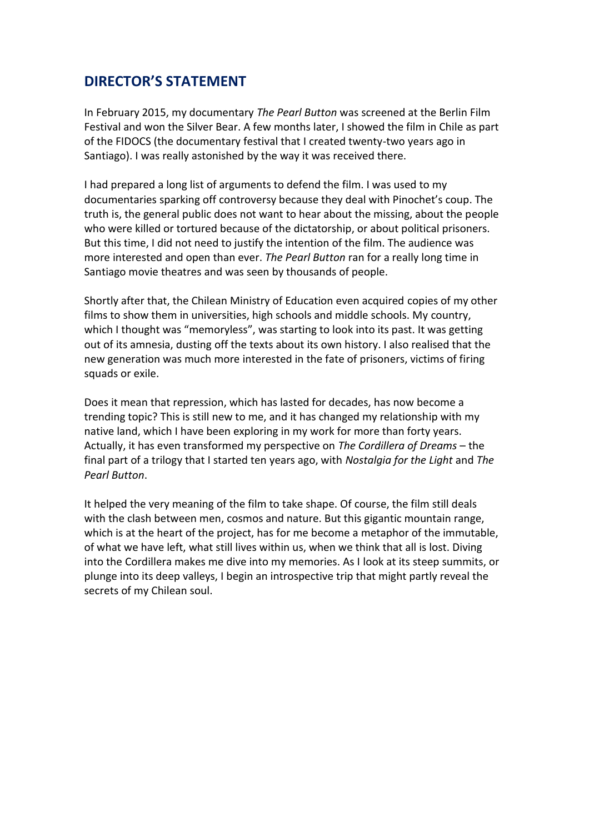## **DIRECTOR'S STATEMENT**

In February 2015, my documentary *The Pearl Button* was screened at the Berlin Film Festival and won the Silver Bear. A few months later, I showed the film in Chile as part of the FIDOCS (the documentary festival that I created twenty-two years ago in Santiago). I was really astonished by the way it was received there.

I had prepared a long list of arguments to defend the film. I was used to my documentaries sparking off controversy because they deal with Pinochet's coup. The truth is, the general public does not want to hear about the missing, about the people who were killed or tortured because of the dictatorship, or about political prisoners. But this time, I did not need to justify the intention of the film. The audience was more interested and open than ever. *The Pearl Button* ran for a really long time in Santiago movie theatres and was seen by thousands of people.

Shortly after that, the Chilean Ministry of Education even acquired copies of my other films to show them in universities, high schools and middle schools. My country, which I thought was "memoryless", was starting to look into its past. It was getting out of its amnesia, dusting off the texts about its own history. I also realised that the new generation was much more interested in the fate of prisoners, victims of firing squads or exile.

Does it mean that repression, which has lasted for decades, has now become a trending topic? This is still new to me, and it has changed my relationship with my native land, which I have been exploring in my work for more than forty years. Actually, it has even transformed my perspective on *The Cordillera of Dreams* – the final part of a trilogy that I started ten years ago, with *Nostalgia for the Light* and *The Pearl Button*.

It helped the very meaning of the film to take shape. Of course, the film still deals with the clash between men, cosmos and nature. But this gigantic mountain range, which is at the heart of the project, has for me become a metaphor of the immutable, of what we have left, what still lives within us, when we think that all is lost. Diving into the Cordillera makes me dive into my memories. As I look at its steep summits, or plunge into its deep valleys, I begin an introspective trip that might partly reveal the secrets of my Chilean soul.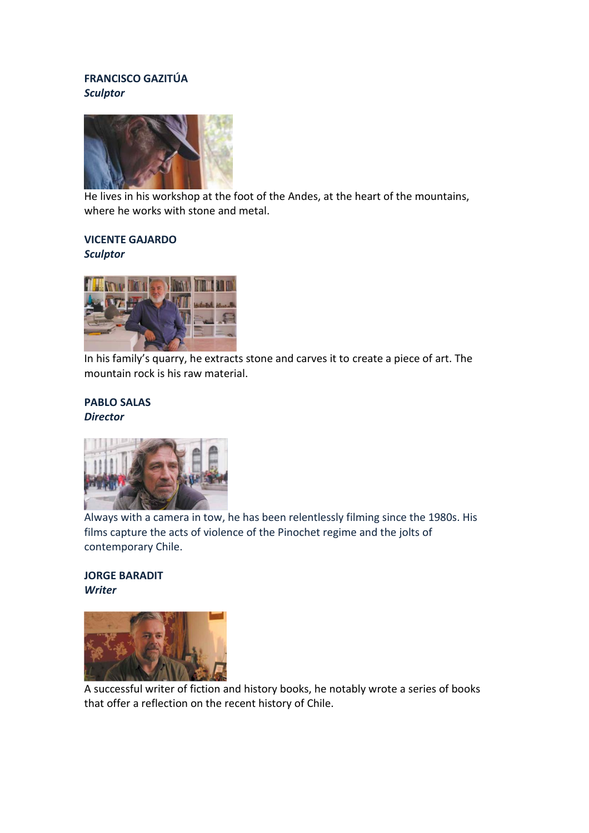#### **FRANCISCO GAZITÚA** *Sculptor*



He lives in his workshop at the foot of the Andes, at the heart of the mountains, where he works with stone and metal.

# **VICENTE GAJARDO**

*Sculptor* 



In his family's quarry, he extracts stone and carves it to create a piece of art. The mountain rock is his raw material.

#### **PABLO SALAS** *Director*



Always with a camera in tow, he has been relentlessly filming since the 1980s. His films capture the acts of violence of the Pinochet regime and the jolts of contemporary Chile.

#### **JORGE BARADIT** *Writer*



A successful writer of fiction and history books, he notably wrote a series of books that offer a reflection on the recent history of Chile.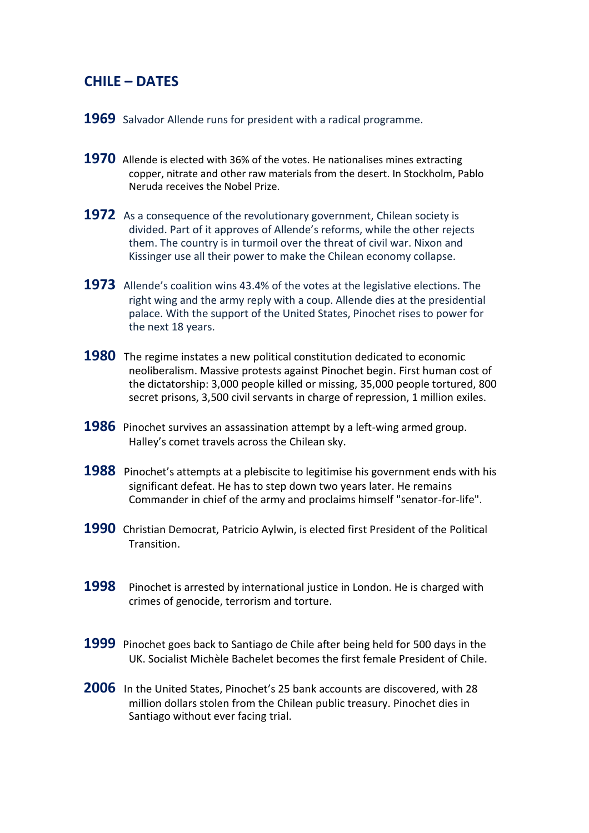## **CHILE – DATES**

- **1969** Salvador Allende runs for president with a radical programme.
- **1970** Allende is elected with 36% of the votes. He nationalises mines extracting copper, nitrate and other raw materials from the desert. In Stockholm, Pablo Neruda receives the Nobel Prize.
- **1972** As a consequence of the revolutionary government, Chilean society is divided. Part of it approves of Allende's reforms, while the other rejects them. The country is in turmoil over the threat of civil war. Nixon and Kissinger use all their power to make the Chilean economy collapse.
- **1973** Allende's coalition wins 43.4% of the votes at the legislative elections. The right wing and the army reply with a coup. Allende dies at the presidential palace. With the support of the United States, Pinochet rises to power for the next 18 years.
- **1980** The regime instates a new political constitution dedicated to economic neoliberalism. Massive protests against Pinochet begin. First human cost of the dictatorship: 3,000 people killed or missing, 35,000 people tortured, 800 secret prisons, 3,500 civil servants in charge of repression, 1 million exiles.
- **1986** Pinochet survives an assassination attempt by a left-wing armed group. Halley's comet travels across the Chilean sky.
- **1988** Pinochet's attempts at a plebiscite to legitimise his government ends with his significant defeat. He has to step down two years later. He remains Commander in chief of the army and proclaims himself "senator-for-life".
- **1990** Christian Democrat, Patricio Aylwin, is elected first President of the Political Transition.
- **1998** Pinochet is arrested by international justice in London. He is charged with crimes of genocide, terrorism and torture.
- **1999** Pinochet goes back to Santiago de Chile after being held for 500 days in the UK. Socialist Michèle Bachelet becomes the first female President of Chile.
- **2006** In the United States, Pinochet's 25 bank accounts are discovered, with 28 million dollars stolen from the Chilean public treasury. Pinochet dies in Santiago without ever facing trial.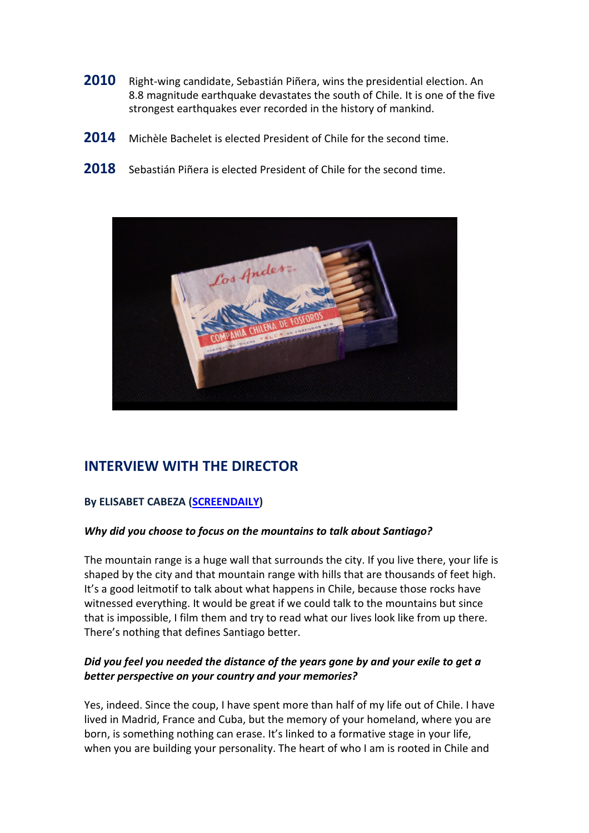- **2010** Right-wing candidate, Sebastián Piñera, wins the presidential election. An 8.8 magnitude earthquake devastates the south of Chile. It is one of the five strongest earthquakes ever recorded in the history of mankind.
- **2014** Michèle Bachelet is elected President of Chile for the second time.
- 2018 Sebastián Piñera is elected President of Chile for the second time.



## **INTERVIEW WITH THE DIRECTOR**

#### **By ELISABET CABEZA [\(SCREENDAILY\)](https://www.screendaily.com/features/the-cordillera-of-dreams-director-patricio-guzman-discusses-the-new-generation-of-documentary-filmmakers/5139766.article)**

#### *Why did you choose to focus on the mountains to talk about Santiago?*

The mountain range is a huge wall that surrounds the city. If you live there, your life is shaped by the city and that mountain range with hills that are thousands of feet high. It's a good leitmotif to talk about what happens in Chile, because those rocks have witnessed everything. It would be great if we could talk to the mountains but since that is impossible, I film them and try to read what our lives look like from up there. There's nothing that defines Santiago better.

#### *Did you feel you needed the distance of the years gone by and your exile to get a better perspective on your country and your memories?*

Yes, indeed. Since the coup, I have spent more than half of my life out of Chile. I have lived in Madrid, France and Cuba, but the memory of your homeland, where you are born, is something nothing can erase. It's linked to a formative stage in your life, when you are building your personality. The heart of who I am is rooted in Chile and